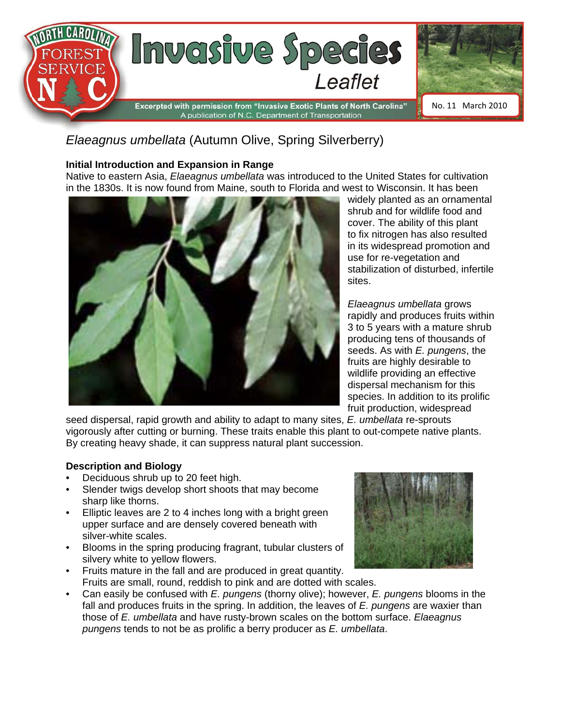

# *Elaeagnus umbellata* (Autumn Olive, Spring Silverberry)

#### **Initial Introduction and Expansion in Range**

Native to eastern Asia, *Elaeagnus umbellata* was introduced to the United States for cultivation in the 1830s. It is now found from Maine, south to Florida and west to Wisconsin. It has been



widely planted as an ornamental shrub and for wildlife food and cover. The ability of this plant to fix nitrogen has also resulted in its widespread promotion and use for re-vegetation and stabilization of disturbed, infertile sites.

*Elaeagnus umbellata* grows rapidly and produces fruits within 3 to 5 years with a mature shrub producing tens of thousands of seeds. As with *E. pungens*, the fruits are highly desirable to wildlife providing an effective dispersal mechanism for this species. In addition to its prolific fruit production, widespread

seed dispersal, rapid growth and ability to adapt to many sites, *E. umbellata* re-sprouts vigorously after cutting or burning. These traits enable this plant to out-compete native plants. By creating heavy shade, it can suppress natural plant succession.

#### **Description and Biology**

- Deciduous shrub up to 20 feet high.
- Slender twigs develop short shoots that may become sharp like thorns.
- Elliptic leaves are 2 to 4 inches long with a bright green upper surface and are densely covered beneath with silver-white scales.
- Blooms in the spring producing fragrant, tubular clusters of silvery white to yellow flowers.
- Fruits mature in the fall and are produced in great quantity. Fruits are small, round, reddish to pink and are dotted with scales.



• Can easily be confused with *E. pungens* (thorny olive); however, *E. pungens* blooms in the fall and produces fruits in the spring. In addition, the leaves of *E. pungens* are waxier than those of *E. umbellata* and have rusty-brown scales on the bottom surface. *Elaeagnus pungens* tends to not be as prolific a berry producer as *E. umbellata*.